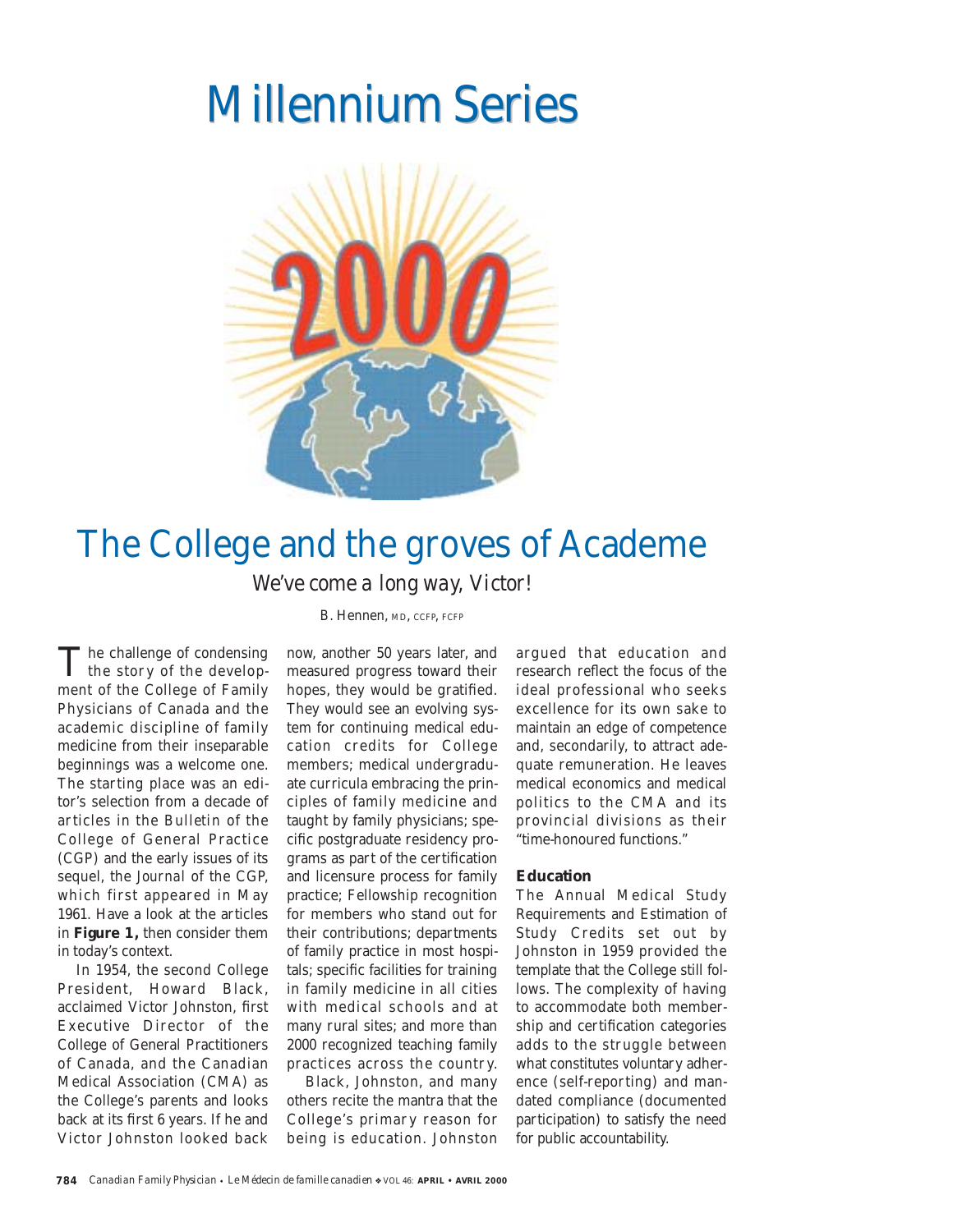# **Millennium Series**



## The College and the groves of Academe *We've come a long way, Victor!*

B. Hennen, MD, CCFP, FCFP

 $\mathbf T$  he challenge of condensing<br>the story of the development of the College of Family Physicians of Canada and the academic discipline of family medicine from their inseparable beginnings was a welcome one. The starting place was an editor's selection from a decade of articles in the *Bulletin* of the College of General Practice (CGP) and the early issues of its sequel, the *Journal* of the CGP, which first appeared in May 1961. Have a look at the articles in **Figure 1,** then consider them in today's context.

In 1954, the second College President, Howard Black, acclaimed Victor Johnston, first Executive Director of the College of General Practitioners of Canada, and the Canadian Medical Association (CMA) as the College's parents and looks back at its first 6 years. If he and Victor Johnston looked back

now, another 50 years later, and measured progress toward their hopes, they would be gratified. They would see an evolving system for continuing medical education credits for College members; medical undergraduate curricula embracing the principles of family medicine and taught by family physicians; specific postgraduate residency programs as part of the certification and licensure process for family practice; Fellowship recognition for members who stand out for their contributions; departments of family practice in most hospitals; specific facilities for training in family medicine in all cities with medical schools and at many rural sites; and more than 2000 recognized teaching family practices across the countr y.

Black, Johnston, and many others recite the mantra that the College's primary reason for being is education. Johnston

argued that education and research reflect the focus of the ideal professional who seeks excellence for its own sake to maintain an edge of competence and, secondarily, to attract adequate remuneration. He leaves medical economics and medical politics to the CMA and its provincial divisions as their "time-honoured functions."

## **Education**

The Annual Medical Study Requirements and Estimation of Study Credits set out by Johnston in 1959 provided the template that the College still follows. The complexity of having to accommodate both membership and certification categories adds to the struggle between what constitutes voluntary adherence (self-reporting) and mandated compliance (documented participation) to satisfy the need for public accountability.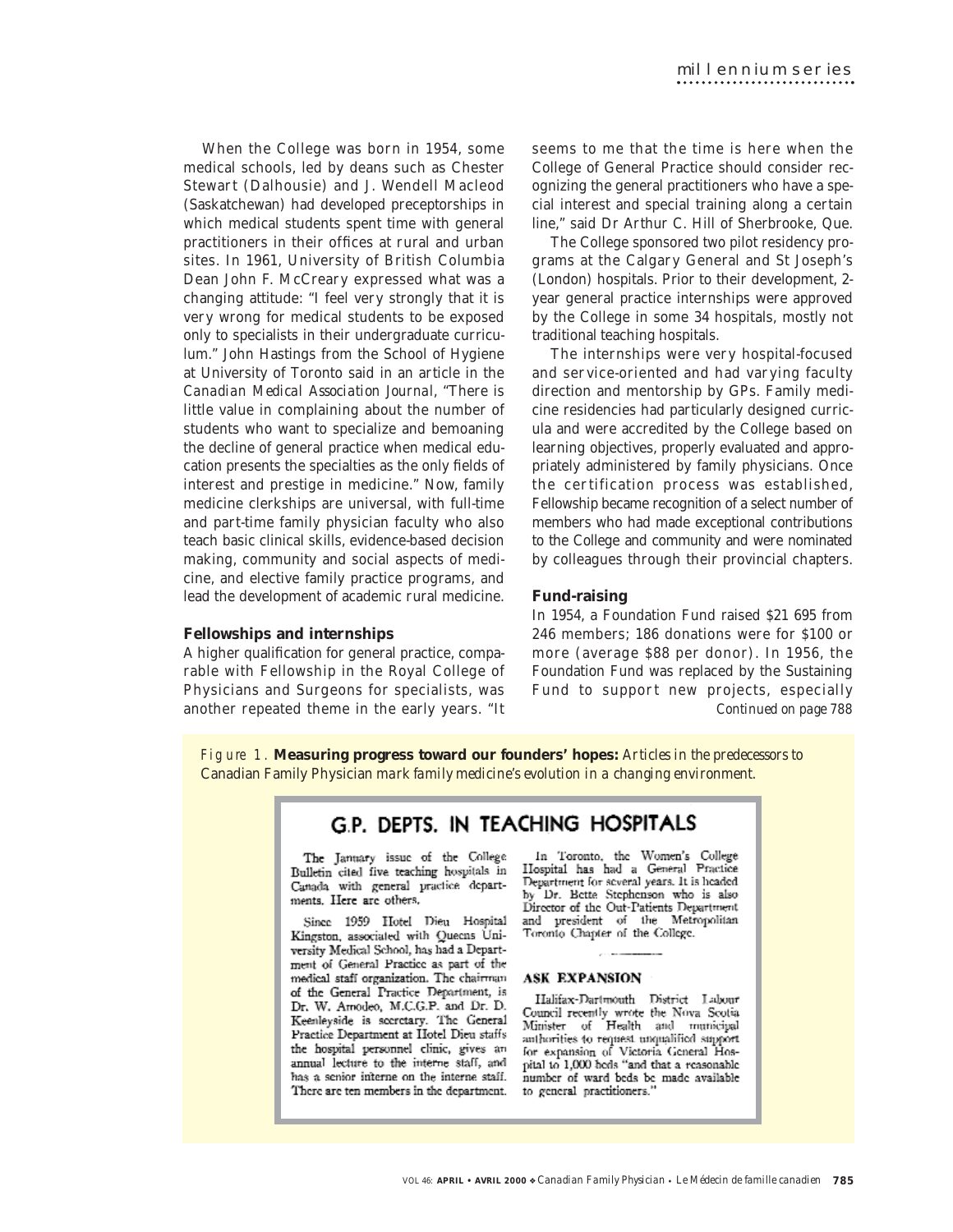When the College was born in 1954, some medical schools, led by deans such as Chester Stewart (Dalhousie) and J. Wendell Macleod (Saskatchewan) had developed preceptorships in which medical students spent time with general practitioners in their offices at rural and urban sites. In 1961, University of British Columbia Dean John F. McCreary expressed what was a changing attitude: "I feel very strongly that it is very wrong for medical students to be exposed only to specialists in their undergraduate curriculum." John Hastings from the School of Hygiene at University of Toronto said in an article in the *Canadian Medical Association Journal*, "There is little value in complaining about the number of students who want to specialize and bemoaning the decline of general practice when medical education presents the specialties as the only fields of interest and prestige in medicine." Now, family medicine clerkships are universal, with full-time and part-time family physician faculty who also teach basic clinical skills, evidence-based decision making, community and social aspects of medicine, and elective family practice programs, and lead the development of academic rural medicine.

## **Fellowships and internships**

A higher qualification for general practice, comparable with Fellowship in the Royal College of Physicians and Surgeons for specialists, was another repeated theme in the early years. "It

seems to me that the time is here when the College of General Practice should consider recognizing the general practitioners who have a special interest and special training along a certain line," said Dr Arthur C. Hill of Sherbrooke, Que.

The College sponsored two pilot residency programs at the Calgary General and St Joseph's (London) hospitals. Prior to their development, 2 year general practice internships were approved by the College in some 34 hospitals, mostly not traditional teaching hospitals.

The internships were very hospital-focused and service-oriented and had varying faculty direction and mentorship by GPs. Family medicine residencies had particularly designed curricula and were accredited by the College based on learning objectives, properly evaluated and appropriately administered by family physicians. Once the certification process was established, Fellowship became recognition of a select number of members who had made exceptional contributions to the College and community and were nominated by colleagues through their provincial chapters.

## **Fund-raising**

In 1954, a Foundation Fund raised \$21 695 from 246 members; 186 donations were for \$100 or more (average \$88 per donor). In 1956, the Foundation Fund was replaced by the Sustaining Fund to support new projects, especially *Continued on page 788*

F i g u re 1. **Measuring progress toward our founders' hopes:** *Articles in the predecessors to* Canadian Family Physician *mark family medicine's evolution in a changing environment.*

## G.P. DEPTS. IN TEACHING HOSPITALS

The January issue of the College Bulletin cited five teaching hospitals in Canada with general practice departments. Here are others.

Since 1959 Hotel Dieu Hospital Kingston, associated with Queens University Medical School, has had a Department of General Practice as part of the medical staff organization. The chairman of the General Practice Department, is Dr. W. Amodeo, M.C.G.P. and Dr. D. Keenleyside is secretary. The General Practice Department at Hotel Dieu staffs the hospital personnel clinic, gives an annual lecture to the interne staff, and has a senior interne on the interne staff. There are ten members in the department.

In Toronto, the Women's College<br>IIospital has had a General Practice Department for several years. It is headed by Dr. Bette Stephenson who is also Director of the Out-Patients Department and president of the Metropolitan Toronto Chapter of the College.

## **ASK EXPANSION**

Halifax-Dartmouth District Labour Council recently wrote the Nova Scotia Minister of Health and municipal anthorities to request unqualified support for expansion of Victoria General Hos-<br>pital to 1,000 bods "and that a reasonable number of ward beds be made available to general practitioners.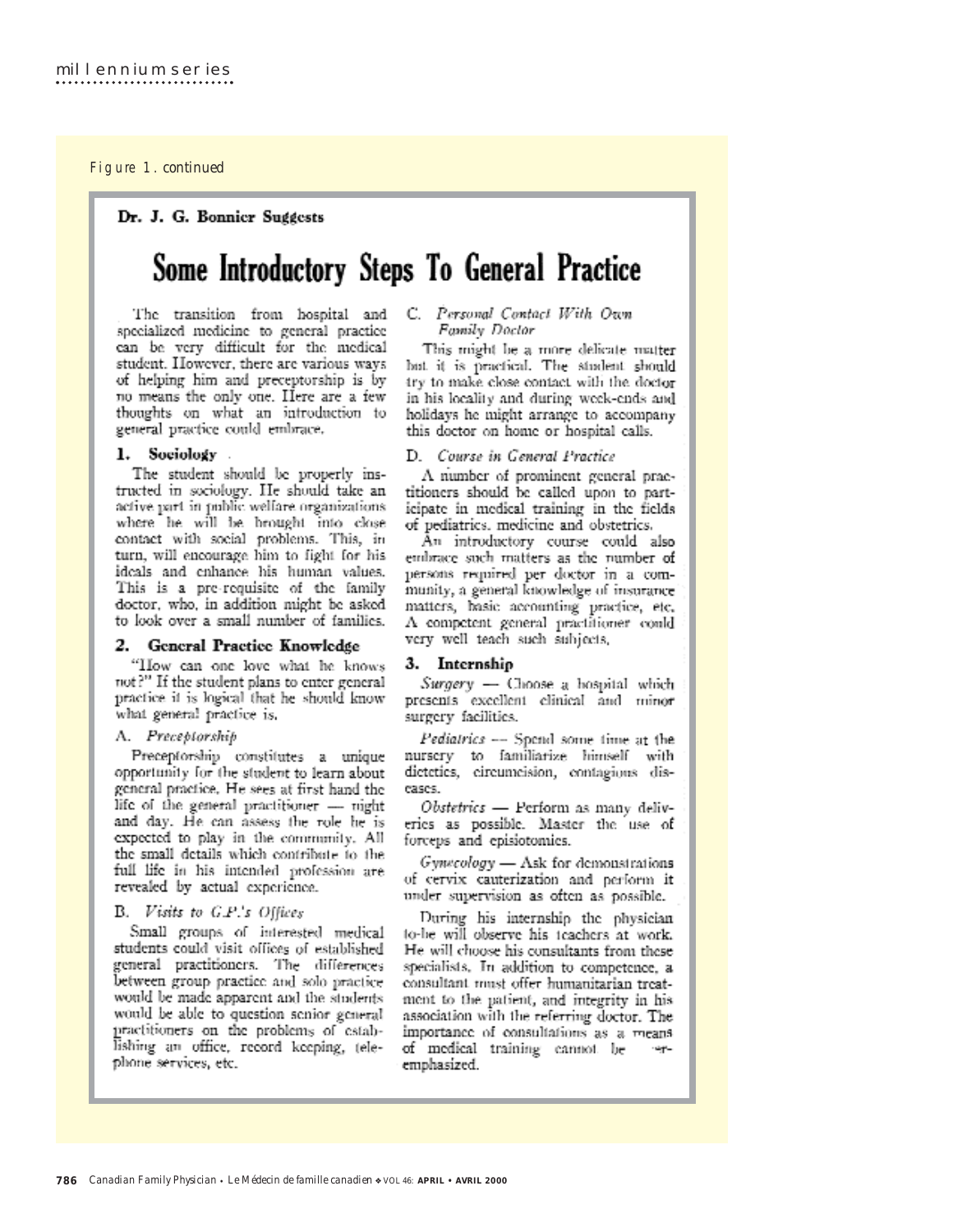## Figure 1. continued

Dr. J. G. Bonnicr Suggests

## Some Introductory Steps To General Practice

The transition from hospital and specialized medicine to general practice can be very difficult for the medical student. However, there are various ways of helping him and preceptorship is by no means the only one. Here are a few thoughts on what an introduction to general practice could embrace.

## 1. Sociology

The student should be properly instructed in sociology. He should take an active part in public welfare organizations where he will be brought into close contact with social problems. This, in turn, will encourage him to fight for his ideals and enhance his human values, This is a pre-requisite of the family doctor, who, in addition might be asked to look over a small number of families.

## 2. General Practice Knowledge

"How can one love what he knows not?" If the student plans to enter general practice it is logical that he should know what general practice is.

### A. Preceptorship

Preceptorship constitutes a unique opportunity for the student to learn about general practice. He sees at first hand the life of the general practitioner - night and day. He can assess the role he is expected to play in the community. All the small details which contribute to the full life in his intended profession are revealed by actual experience.

### B. Visits to G.P.'s Offices

Small groups of interested medical students could visit offices of established general practitioners. The differences between group practice and solo practice would be made apparent and the students would be able to question senior general practitioners on the problems of establishing an office, record keeping, telephone services, etc.

#### C. Personal Contact With Own Family Doctor

This might be a more delicate matter but it is practical. The student should try to make close contact with the doctor in his locality and during week-ends and holidays he might arrange to accompany this doctor on home or hospital calls.

## D. Course in General Practice

A number of prominent general praetitioners should be called upon to participate in medical training in the fields of pediatrics, medicine and obstetrics.

An introductory course could also embrace such matters as the number of persons required per doctor in a community, a general knowledge of insurance matters, basic accounting practice, etc. A competent general practitioner could very well teach such subjects,

## 3. Internship

Surgery - Choose a hospital which presents excellent clinical and minor surgery facilities.

Pediatrics -- Spend some time at the nurscry to familiarize himself with dictetics, circumcision, contagions discases.

Obstetrics — Perform as many deliveries as possible. Master the use of forceps and episiotomics.

Gynecology - Ask for demonstrations of cervix cauterization and perform it under supervision as often as possible.

During his internship the physician to-be will observe his teachers at work. He will choose his consultants from these specialists. In addition to competence, a consultant must offer humanitarian treatment to the patient, and integrity in his association with the referring doctor. The importance of consultations as a means of medical training cannot be rage. emphasized.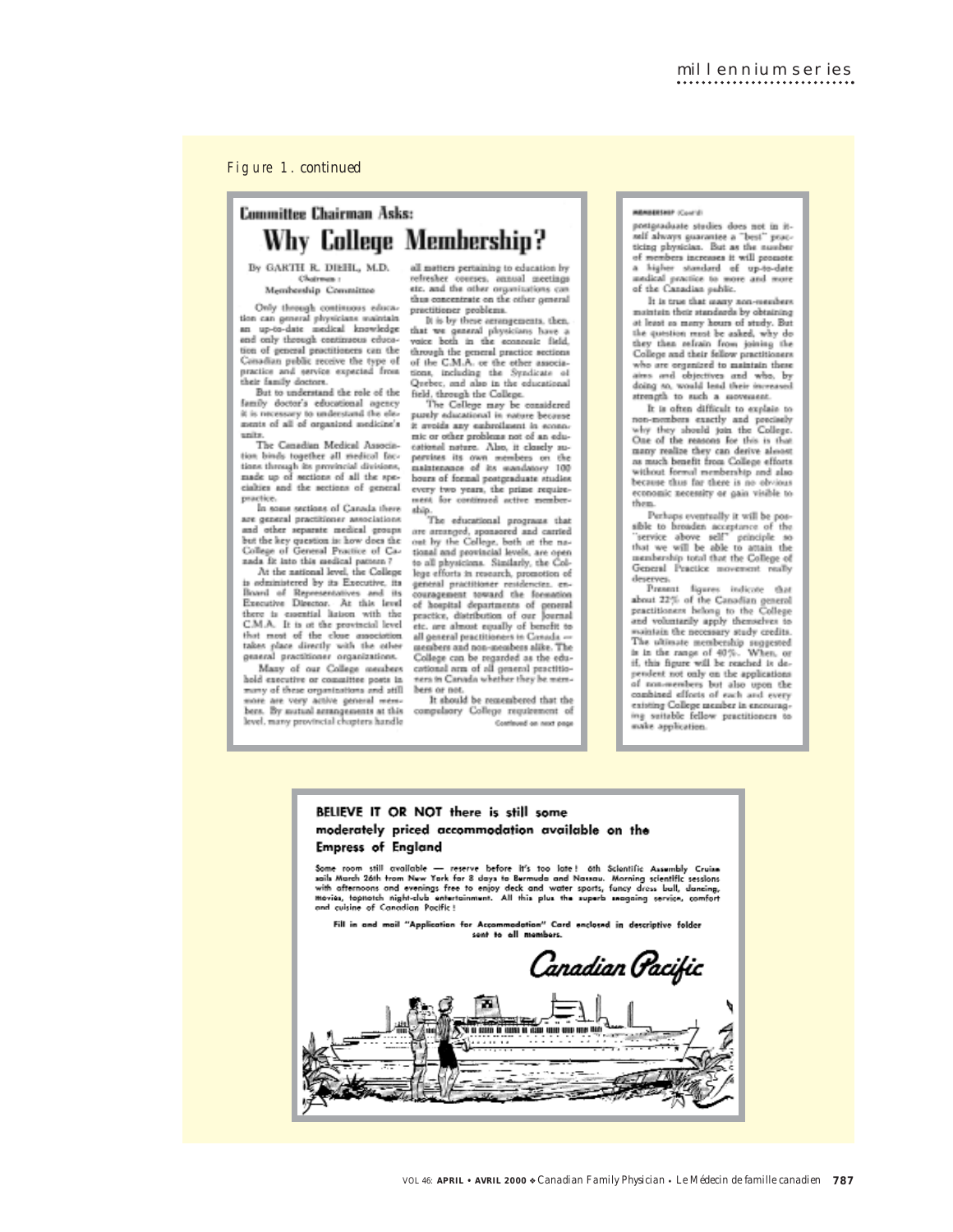Figure 1. *continued* 

## Committee Chairman Asks: Why College Membership?

By GARTH R. DIEHL, M.D. Chairman : Membership Committee

Only through continuous education can general physicians maintain<br>an up-to-date medical knowledge and only through continuous education of general practitioners can the Conadian public receive the type of practice and service expected from<br>their family doctors.

But to understand the role of the family doctor's educational agency<br>it is necessary to understand the elements of all of organized medicine's units.

The Canadian Medical Association binds together all medical factions through its provincial divisions,<br>made up of sections of all the specialties and the sections of general practice.

In some sections of Canada there are general practitioner associations<br>and other separate medical groups but the key question is: how does the<br>College of General Practice of Canada fit into this medical pattern?<br>At the national level, the College

is administered by its Executive, its Board of Representatives and its<br>Executive Director. At this level there is essential listion with the<br>C.M.A. It is at the provincial level that most of the close association<br>takes place directly with the other<br>general practitioner organizations.

Many of our College members hold executive or committee posts in many of these organizations and atill more are very active general mem-<br>bers. By nutual acrangements at this vel, many provincial chopters handle

all matters pertaining to education by refresher coveres, annual meetings<br>etc. and the other organizations can<br>thus concentrate on the other general practitioner problems.<br>It is by these aerangements, then,

that we general physicians have a<br>voice both in the economic field, through the general practice sections<br>of the C.M.A. or the other associations, including the Syndicate of Quebec, and also in the educational field, through the College.

The College may be considered<br>purely educational in nature because it avoids any embroilment in econo-<br>mic or other problems not of an educational nature. Also, it closely supervises its own members on the<br>maintenance of its mandatory 100 hours of formal postgraduate studies<br>every two years, the prime requireent for continued active me

ship.<br>The educational programs that are amanged, aponaored and carried<br>out by the College, both at the national and provincial levels, are open<br>to all physicions. Similarly, the College efforts in research, promotion of general practitioner restdencies, encouragement toward the formation of hospital departments of peneral<br>practice, distribution of our Journal etc. are almost equally of benefit to<br>all general practitioners in Conada -members and non-members alike. The College can be regarded as the educational arm of all general practitioners in Carvada whether they be mere-

bers or not.<br>It should be remembered that the compulsory College requirement of Continued on next page

#### **MERSHIP (Council)**

postgraduate studies does not in itself always guarantee a "best" peac-<br>ticing physician. But as the number of mombers increases it will possiote<br>a higher standard of up-to-date medical practice to more and more<br>of the Canadian public.

It is true that many non-members intain their standards by obtaining at least as many hours of study. But the question must be asked, why do they then refrain from joining the<br>College and their fellow practitioners who are organized to maintain these ains and objectives and who, by doing so, would lead their increased strength to such a seovement.

It is often difficult to explain to non-monthers exactly and precisely<br>why they should join the College.<br>One of the reasons for this is that many realize they can derive almost<br>as much benefit from College efforts without formal membership and also<br>because thus far there is no obvious economic necessity or gain visible to them

membership total that the College of<br>General Practice movement really deserves.<br>Present figures indicate that

about 22% of the Canadian general<br>practitioners helong to the College<br>and voluntarily apply themselves to solution the necessary study credits.<br>The ultimate membership suggested is in the range of 40%. When, or<br>if, this figure will be reached it dependent not only on the applications of non-members but also upon the<br>combined efforts of each and every existing College member in encourag-<br>ing suitable fellow practitioners to make application.

## BELIEVE IT OR NOT there is still some moderately priced accommodation available on the **Empress of England**

Some room still available — reserve before it's too late! 6th Scientific Assumbly Cruise<br>sails March 26th trom New York for 8 days to Bermuda and Nassau. Morning scientific sessions<br>with oftemoons and evenings free to enjo

Fill in and mail "Application for Accommodation" Card enclosed in descriptive folder

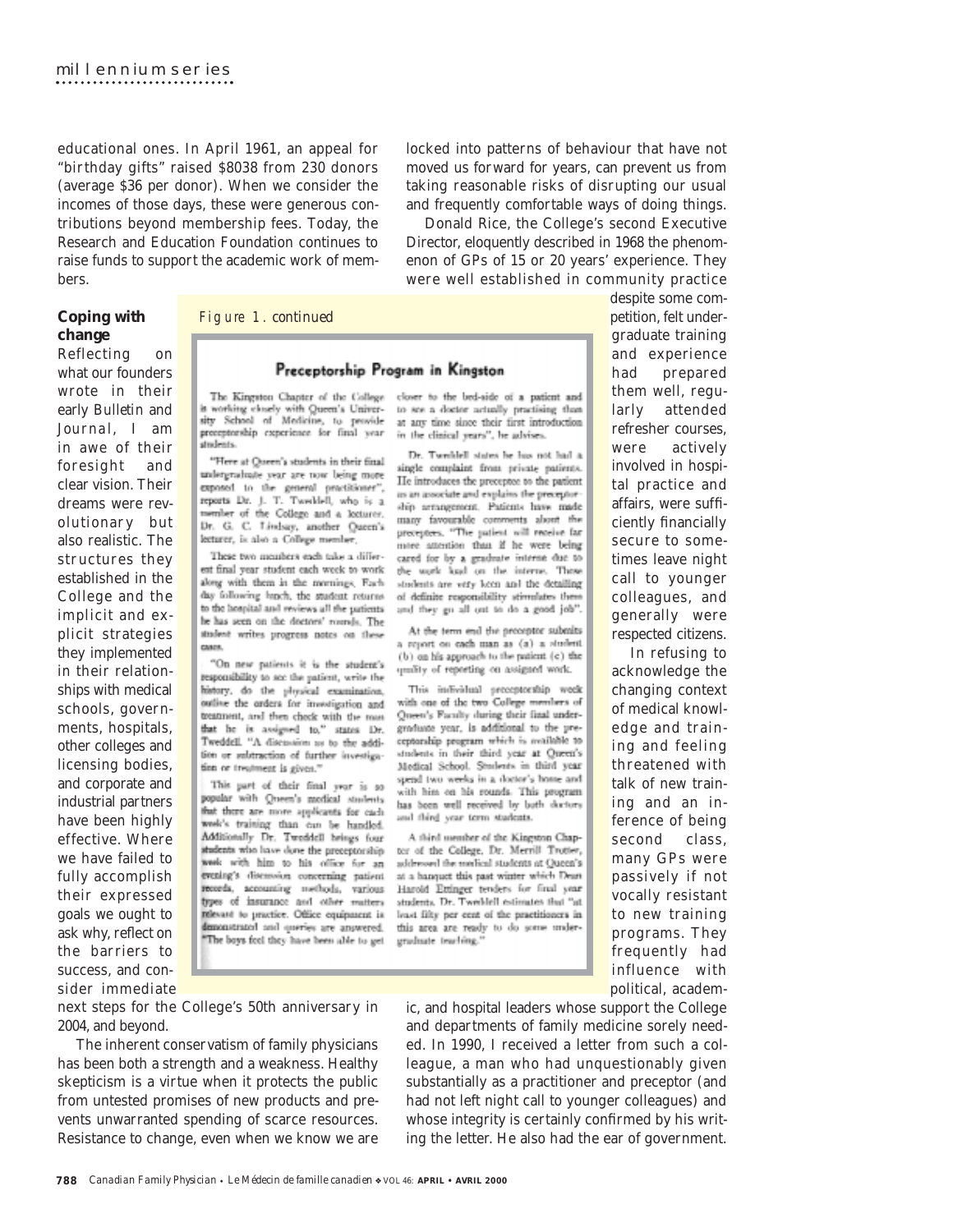educational ones. In April 1961, an appeal for "birthday gifts" raised \$8038 from 230 donors (average \$36 per donor). When we consider the incomes of those days, these were generous contributions beyond membership fees. Today, the Research and Education Foundation continues to raise funds to support the academic work of members.

locked into patterns of behaviour that have not moved us forward for years, can prevent us from taking reasonable risks of disrupting our usual and frequently comfortable ways of doing things.

Donald Rice, the College's second Executive Director, eloquently described in 1968 the phenomenon of GPs of 15 or 20 years' experience. They were well established in community practice

## **Coping with change**

Reflecting on what our founders wrote in their early *Bulletin* and *Journal*, I am in awe of their foresight and clear vision. Their dreams were revolutionary but also realistic. The structures they established in the College and the implicit and explicit strategies they implemented in their relationships with medical schools, governments, hospitals, other colleges and licensing bodies, and corporate and industrial partners have been highly effective. Where we have failed to fully accomplish their expressed goals we ought to ask why, reflect on the barriers to success, and consider immediate

## Figure 1. *continued*

## Preceptorship Program in Kingston

The Kingston Chapter of the College is working closely with Queen's Univer-<br>sity School of Medicine, to provide preceptorship experience for final year students.

"Here at Queen's students in their final undergraduate year are now being more exposed to the general practitioner", reports Dr. J. T. Twellell, who is a member of the College and a locturer. Dr. G. C. Lindsay, another Queen's lecturer, is also a College member,

These two members each take a different final year student each week to work along with them in the mornings. Each day following lunch, the student returns to the hospital and reviews all the patients. he has seen on the doctors' rounds. The student writes progress notes on these **CARDS** 

"On new patients it is the student's responsibility to see the patient, write the history, do the physical examination, outline the orders for investigation and treatment, and then check with the man that he is assigned to," states Dr. Tweddell. "A discussion as to the addition or subtraction of further investigation or treatment is given."

This part of their final year is so popular with Queen's modical students that there are more applicants for cash week's training than cun be handled. Additionally Dr. Tweddell brings four students who have done the preceptorship week with him to his office for an evening's diseassion concerning patient records, accounting methods, various types of insurance and other matters relevant to practice. Office equipment is demonstrated and oneries are answered. "The boys feel they have been able to get

closer to the bed-side of a patient and to see a doctor actually practising than at any time since their first introduction in the clinical years", he advises.

Dr. Tweeklell states he has not had a single complaint from private patients. He introduces the precentee to the patient as an associate and explains the preceptorship arrangement. Patients have made many favourable comments about the preceptors. "The patient will receive far more attention than if he were being cared for by a graduate interse due to the work load on the interne. Those students are very keen and the detailing of definite responsibility stimulates them and they go all out to do a good job".

At the term end the proceptor submits a report on each man as (a) a student (b) on his approach to the patient (c) the quality of reporting on assigned work.

This individual preceptorship week with one of the two College members of Queen's Faculty during their final undergraduate year, is additional to the preceptorship program which is available to students in their third year at Queen's Medical School. Students in third year spend two weeks in a doctor's home and with him on his rounds. This program has been well received by both ductors and third year term students.

A third member of the Kingston Chapter of the College, Dr. Merrill Trotter, addressed the medical students at Queen's at a hanquet this past winter which Dean Harold Ettinger tenders for final year students. Dr. Tweeklell estimates that "at least filty per cent of the practitioners in this area are ready to do some undergraduate teaching."

petition, felt undergraduate training and experience had prepared them well, regularly attended refresher courses, were actively involved in hospital practice and affairs, were sufficiently financially secure to sometimes leave night call to younger colleagues, and generally were respected citizens.

despite some com-

In refusing to acknowledge the changing context of medical knowledge and training and feeling threatened with talk of new training and an inference of being second class, many GPs were passively if not vocally resistant to new training programs. They frequently had influence with political, academ-

next steps for the College's 50th anniversary in 2004, and beyond.

The inherent conservatism of family physicians has been both a strength and a weakness. Healthy skepticism is a virtue when it protects the public from untested promises of new products and prevents unwarranted spending of scarce resources. Resistance to change, even when we know we are

ic, and hospital leaders whose support the College and departments of family medicine sorely needed. In 1990, I received a letter from such a colleague, a man who had unquestionably given substantially as a practitioner and preceptor (and had not left night call to younger colleagues) and whose integrity is certainly confirmed by his writing the letter. He also had the ear of government.